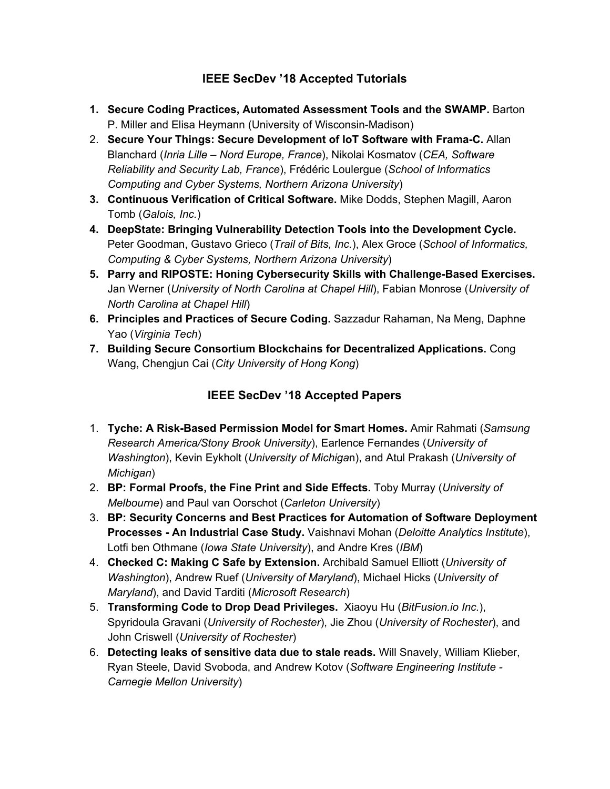## **IEEE SecDev '18 Accepted Tutorials**

- **1. Secure Coding Practices, Automated Assessment Tools and the SWAMP.** Barton P. Miller and Elisa Heymann (University of Wisconsin-Madison)
- 2. **Secure Your Things: Secure Development of IoT Software with Frama-C.** Allan Blanchard (*Inria Lille – Nord Europe, France*), Nikolai Kosmatov (*CEA, Software Reliability and Security Lab, France*), Frédéric Loulergue (*School of Informatics Computing and Cyber Systems, Northern Arizona University*)
- **3. Continuous Verification of Critical Software.** Mike Dodds, Stephen Magill, Aaron Tomb (*Galois, Inc.*)
- **4. DeepState: Bringing Vulnerability Detection Tools into the Development Cycle.** Peter Goodman, Gustavo Grieco (*Trail of Bits, Inc.*), Alex Groce (*School of Informatics, Computing & Cyber Systems, Northern Arizona University*)
- **5. Parry and RIPOSTE: Honing Cybersecurity Skills with Challenge-Based Exercises.** Jan Werner (*University of North Carolina at Chapel Hill*), Fabian Monrose (*University of North Carolina at Chapel Hill*)
- **6. Principles and Practices of Secure Coding.** Sazzadur Rahaman, Na Meng, Daphne Yao (*Virginia Tech*)
- **7. Building Secure Consortium Blockchains for Decentralized Applications.** Cong Wang, Chengjun Cai (*City University of Hong Kong*)

## **IEEE SecDev '18 Accepted Papers**

- 1. **Tyche: A Risk-Based Permission Model for Smart Homes.** Amir Rahmati (*Samsung Research America/Stony Brook University*), Earlence Fernandes (*University of Washington*), Kevin Eykholt (*University of Michiga*n), and Atul Prakash (*University of Michigan*)
- 2. **BP: Formal Proofs, the Fine Print and Side Effects.** Toby Murray (*University of Melbourne*) and Paul van Oorschot (*Carleton University*)
- 3. **BP: Security Concerns and Best Practices for Automation of Software Deployment Processes - An Industrial Case Study.** Vaishnavi Mohan (*Deloitte Analytics Institute*), Lotfi ben Othmane (*Iowa State University*), and Andre Kres (*IBM*)
- 4. **Checked C: Making C Safe by Extension.** Archibald Samuel Elliott (*University of Washington*), Andrew Ruef (*University of Maryland*), Michael Hicks (*University of Maryland*), and David Tarditi (*Microsoft Research*)
- 5. **Transforming Code to Drop Dead Privileges.** Xiaoyu Hu (*BitFusion.io Inc.*), Spyridoula Gravani (*University of Rochester*), Jie Zhou (*University of Rochester*), and John Criswell (*University of Rochester*)
- 6. **Detecting leaks of sensitive data due to stale reads.** Will Snavely, William Klieber, Ryan Steele, David Svoboda, and Andrew Kotov (*Software Engineering Institute - Carnegie Mellon University*)